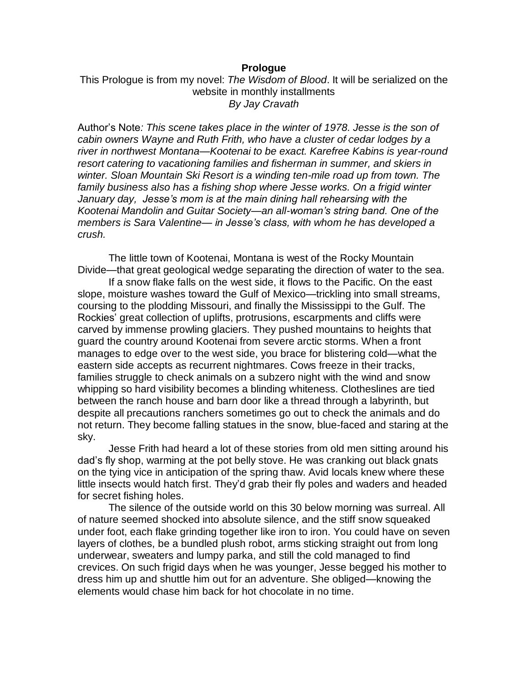## **Prologue**

This Prologue is from my novel: *The Wisdom of Blood*. It will be serialized on the website in monthly installments *By Jay Cravath*

Author's Note*: This scene takes place in the winter of 1978. Jesse is the son of cabin owners Wayne and Ruth Frith, who have a cluster of cedar lodges by a river in northwest Montana—Kootenai to be exact. Karefree Kabins is year-round resort catering to vacationing families and fisherman in summer, and skiers in winter. Sloan Mountain Ski Resort is a winding ten-mile road up from town. The family business also has a fishing shop where Jesse works. On a frigid winter January day, Jesse's mom is at the main dining hall rehearsing with the Kootenai Mandolin and Guitar Society—an all-woman's string band. One of the members is Sara Valentine— in Jesse's class, with whom he has developed a crush.*

The little town of Kootenai, Montana is west of the Rocky Mountain Divide—that great geological wedge separating the direction of water to the sea.

If a snow flake falls on the west side, it flows to the Pacific. On the east slope, moisture washes toward the Gulf of Mexico—trickling into small streams, coursing to the plodding Missouri, and finally the Mississippi to the Gulf. The Rockies' great collection of uplifts, protrusions, escarpments and cliffs were carved by immense prowling glaciers. They pushed mountains to heights that guard the country around Kootenai from severe arctic storms. When a front manages to edge over to the west side, you brace for blistering cold—what the eastern side accepts as recurrent nightmares. Cows freeze in their tracks, families struggle to check animals on a subzero night with the wind and snow whipping so hard visibility becomes a blinding whiteness. Clotheslines are tied between the ranch house and barn door like a thread through a labyrinth, but despite all precautions ranchers sometimes go out to check the animals and do not return. They become falling statues in the snow, blue-faced and staring at the sky.

Jesse Frith had heard a lot of these stories from old men sitting around his dad's fly shop, warming at the pot belly stove. He was cranking out black gnats on the tying vice in anticipation of the spring thaw. Avid locals knew where these little insects would hatch first. They'd grab their fly poles and waders and headed for secret fishing holes.

The silence of the outside world on this 30 below morning was surreal. All of nature seemed shocked into absolute silence, and the stiff snow squeaked under foot, each flake grinding together like iron to iron. You could have on seven layers of clothes, be a bundled plush robot, arms sticking straight out from long underwear, sweaters and lumpy parka, and still the cold managed to find crevices. On such frigid days when he was younger, Jesse begged his mother to dress him up and shuttle him out for an adventure. She obliged—knowing the elements would chase him back for hot chocolate in no time.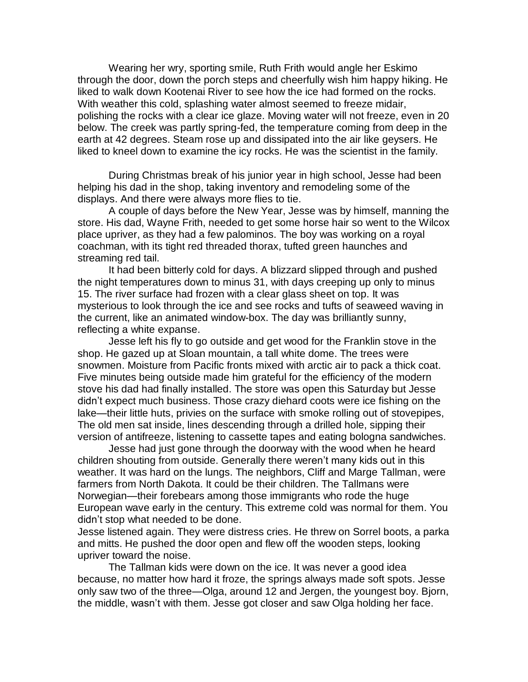Wearing her wry, sporting smile, Ruth Frith would angle her Eskimo through the door, down the porch steps and cheerfully wish him happy hiking. He liked to walk down Kootenai River to see how the ice had formed on the rocks. With weather this cold, splashing water almost seemed to freeze midair, polishing the rocks with a clear ice glaze. Moving water will not freeze, even in 20 below. The creek was partly spring-fed, the temperature coming from deep in the earth at 42 degrees. Steam rose up and dissipated into the air like geysers. He liked to kneel down to examine the icy rocks. He was the scientist in the family.

During Christmas break of his junior year in high school, Jesse had been helping his dad in the shop, taking inventory and remodeling some of the displays. And there were always more flies to tie.

A couple of days before the New Year, Jesse was by himself, manning the store. His dad, Wayne Frith, needed to get some horse hair so went to the Wilcox place upriver, as they had a few palominos. The boy was working on a royal coachman, with its tight red threaded thorax, tufted green haunches and streaming red tail.

It had been bitterly cold for days. A blizzard slipped through and pushed the night temperatures down to minus 31, with days creeping up only to minus 15. The river surface had frozen with a clear glass sheet on top. It was mysterious to look through the ice and see rocks and tufts of seaweed waving in the current, like an animated window-box. The day was brilliantly sunny, reflecting a white expanse.

Jesse left his fly to go outside and get wood for the Franklin stove in the shop. He gazed up at Sloan mountain, a tall white dome. The trees were snowmen. Moisture from Pacific fronts mixed with arctic air to pack a thick coat. Five minutes being outside made him grateful for the efficiency of the modern stove his dad had finally installed. The store was open this Saturday but Jesse didn't expect much business. Those crazy diehard coots were ice fishing on the lake—their little huts, privies on the surface with smoke rolling out of stovepipes, The old men sat inside, lines descending through a drilled hole, sipping their version of antifreeze, listening to cassette tapes and eating bologna sandwiches.

Jesse had just gone through the doorway with the wood when he heard children shouting from outside. Generally there weren't many kids out in this weather. It was hard on the lungs. The neighbors, Cliff and Marge Tallman, were farmers from North Dakota. It could be their children. The Tallmans were Norwegian—their forebears among those immigrants who rode the huge European wave early in the century. This extreme cold was normal for them. You didn't stop what needed to be done.

Jesse listened again. They were distress cries. He threw on Sorrel boots, a parka and mitts. He pushed the door open and flew off the wooden steps, looking upriver toward the noise.

The Tallman kids were down on the ice. It was never a good idea because, no matter how hard it froze, the springs always made soft spots. Jesse only saw two of the three—Olga, around 12 and Jergen, the youngest boy. Bjorn, the middle, wasn't with them. Jesse got closer and saw Olga holding her face.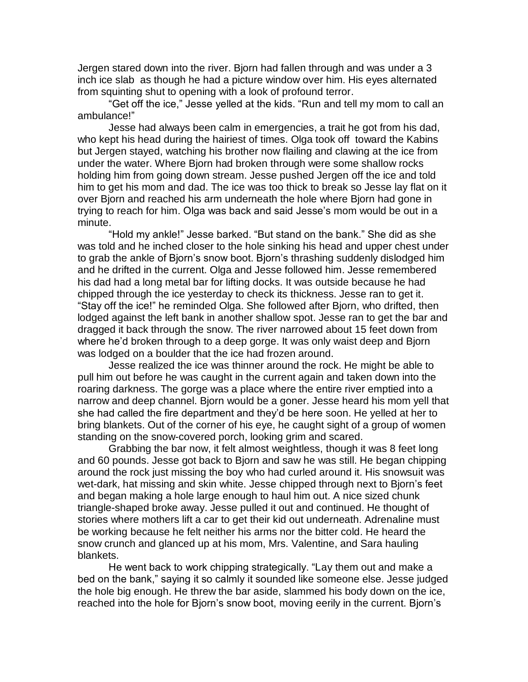Jergen stared down into the river. Bjorn had fallen through and was under a 3 inch ice slab as though he had a picture window over him. His eyes alternated from squinting shut to opening with a look of profound terror.

"Get off the ice," Jesse yelled at the kids. "Run and tell my mom to call an ambulance!"

Jesse had always been calm in emergencies, a trait he got from his dad, who kept his head during the hairiest of times. Olga took off toward the Kabins but Jergen stayed, watching his brother now flailing and clawing at the ice from under the water. Where Bjorn had broken through were some shallow rocks holding him from going down stream. Jesse pushed Jergen off the ice and told him to get his mom and dad. The ice was too thick to break so Jesse lay flat on it over Bjorn and reached his arm underneath the hole where Bjorn had gone in trying to reach for him. Olga was back and said Jesse's mom would be out in a minute.

"Hold my ankle!" Jesse barked. "But stand on the bank." She did as she was told and he inched closer to the hole sinking his head and upper chest under to grab the ankle of Bjorn's snow boot. Bjorn's thrashing suddenly dislodged him and he drifted in the current. Olga and Jesse followed him. Jesse remembered his dad had a long metal bar for lifting docks. It was outside because he had chipped through the ice yesterday to check its thickness. Jesse ran to get it. "Stay off the ice!" he reminded Olga. She followed after Bjorn, who drifted, then lodged against the left bank in another shallow spot. Jesse ran to get the bar and dragged it back through the snow. The river narrowed about 15 feet down from where he'd broken through to a deep gorge. It was only waist deep and Bjorn was lodged on a boulder that the ice had frozen around.

Jesse realized the ice was thinner around the rock. He might be able to pull him out before he was caught in the current again and taken down into the roaring darkness. The gorge was a place where the entire river emptied into a narrow and deep channel. Bjorn would be a goner. Jesse heard his mom yell that she had called the fire department and they'd be here soon. He yelled at her to bring blankets. Out of the corner of his eye, he caught sight of a group of women standing on the snow-covered porch, looking grim and scared.

Grabbing the bar now, it felt almost weightless, though it was 8 feet long and 60 pounds. Jesse got back to Bjorn and saw he was still. He began chipping around the rock just missing the boy who had curled around it. His snowsuit was wet-dark, hat missing and skin white. Jesse chipped through next to Bjorn's feet and began making a hole large enough to haul him out. A nice sized chunk triangle-shaped broke away. Jesse pulled it out and continued. He thought of stories where mothers lift a car to get their kid out underneath. Adrenaline must be working because he felt neither his arms nor the bitter cold. He heard the snow crunch and glanced up at his mom, Mrs. Valentine, and Sara hauling blankets.

He went back to work chipping strategically. "Lay them out and make a bed on the bank," saying it so calmly it sounded like someone else. Jesse judged the hole big enough. He threw the bar aside, slammed his body down on the ice, reached into the hole for Bjorn's snow boot, moving eerily in the current. Bjorn's